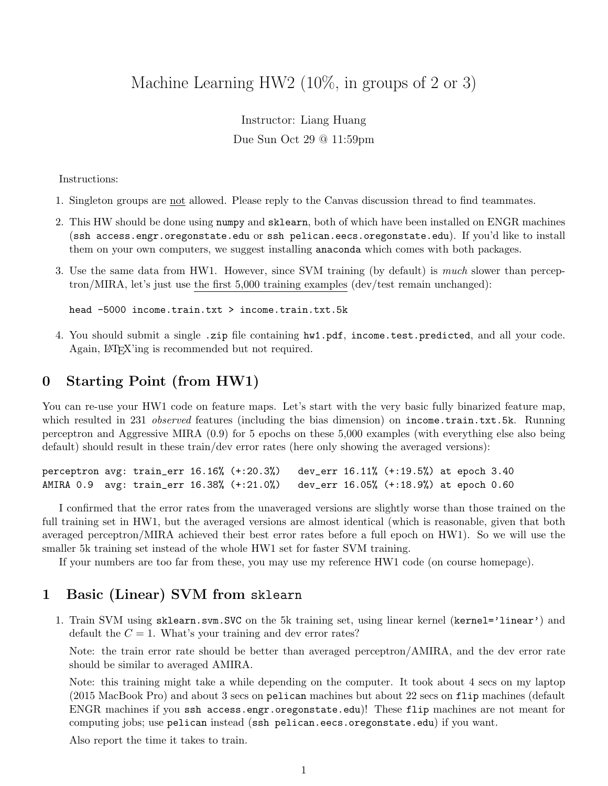# Machine Learning HW2 (10%, in groups of 2 or 3)

# Instructor: Liang Huang Due Sun Oct 29 @ 11:59pm

Instructions:

- 1. Singleton groups are not allowed. Please reply to the Canvas discussion thread to find teammates.
- 2. This HW should be done using numpy and sklearn, both of which have been installed on ENGR machines (ssh access.engr.oregonstate.edu or ssh pelican.eecs.oregonstate.edu). If you'd like to install them on your own computers, we suggest installing anaconda which comes with both packages.
- 3. Use the same data from HW1. However, since SVM training (by default) is much slower than perceptron/MIRA, let's just use the first 5,000 training examples (dev/test remain unchanged):

head -5000 income.train.txt > income.train.txt.5k

4. You should submit a single .zip file containing hw1.pdf, income.test.predicted, and all your code. Again, LATEX'ing is recommended but not required.

#### 0 Starting Point (from HW1)

You can re-use your HW1 code on feature maps. Let's start with the very basic fully binarized feature map, which resulted in 231 *observed* features (including the bias dimension) on income.train.txt.5k. Running perceptron and Aggressive MIRA (0.9) for 5 epochs on these 5,000 examples (with everything else also being default) should result in these train/dev error rates (here only showing the averaged versions):

perceptron avg: train\_err 16.16% (+:20.3%) dev\_err 16.11% (+:19.5%) at epoch 3.40 AMIRA 0.9 avg: train\_err 16.38% (+:21.0%) dev\_err 16.05% (+:18.9%) at epoch 0.60

I confirmed that the error rates from the unaveraged versions are slightly worse than those trained on the full training set in HW1, but the averaged versions are almost identical (which is reasonable, given that both averaged perceptron/MIRA achieved their best error rates before a full epoch on HW1). So we will use the smaller 5k training set instead of the whole HW1 set for faster SVM training.

If your numbers are too far from these, you may use my reference HW1 code (on course homepage).

#### 1 Basic (Linear) SVM from sklearn

1. Train SVM using sklearn.svm.SVC on the 5k training set, using linear kernel (kernel='linear') and default the  $C = 1$ . What's your training and dev error rates?

Note: the train error rate should be better than averaged perceptron/AMIRA, and the dev error rate should be similar to averaged AMIRA.

Note: this training might take a while depending on the computer. It took about 4 secs on my laptop (2015 MacBook Pro) and about 3 secs on pelican machines but about 22 secs on flip machines (default ENGR machines if you ssh access.engr.oregonstate.edu)! These flip machines are not meant for computing jobs; use pelican instead (ssh pelican.eecs.oregonstate.edu) if you want.

Also report the time it takes to train.